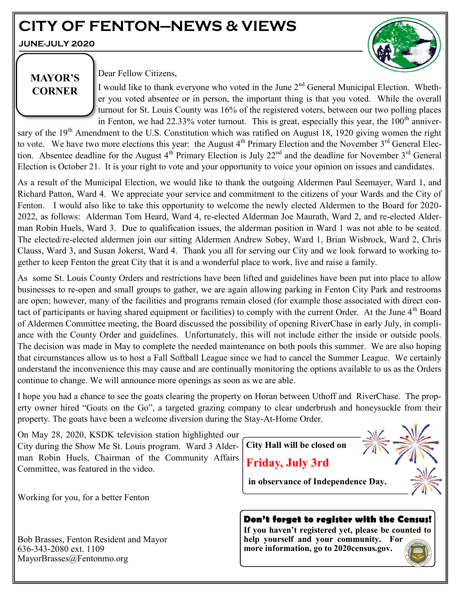# **CITY OF FENTON—NEWS & VIEWS**

**JUNE-JULY 2020**



# **MAYOR'S CORNER**

Dear Fellow Citizens,

I would like to thank everyone who voted in the June  $2<sup>nd</sup>$  General Municipal Election. Whether you voted absentee or in person, the important thing is that you voted. While the overall turnout for St. Louis County was 16% of the registered voters, between our two polling places in Fenton, we had 22.33% voter turnout. This is great, especially this year, the  $100<sup>th</sup>$  anniver-

sary of the  $19<sup>th</sup>$  Amendment to the U.S. Constitution which was ratified on August 18, 1920 giving women the right to vote. We have two more elections this year: the August  $4<sup>th</sup>$  Primary Election and the November  $3<sup>rd</sup>$  General Election. Absentee deadline for the August  $4<sup>th</sup>$  Primary Election is July 22<sup>nd</sup> and the deadline for November  $3<sup>rd</sup>$  General Election is October 21. It is your right to vote and your opportunity to voice your opinion on issues and candidates.

As a result of the Municipal Election, we would like to thank the outgoing Aldermen Paul Seemayer, Ward 1, and Richard Patton, Ward 4. We appreciate your service and commitment to the citizens of your Wards and the City of Fenton. I would also like to take this opportunity to welcome the newly elected Aldermen to the Board for 2020- 2022, as follows: Alderman Tom Heard, Ward 4, re-elected Alderman Joe Maurath, Ward 2, and re-elected Alderman Robin Huels, Ward 3. Due to qualification issues, the alderman position in Ward 1 was not able to be seated. The elected/re-elected aldermen join our sitting Aldermen Andrew Sobey, Ward 1, Brian Wisbrock, Ward 2, Chris Clauss, Ward 3, and Susan Jokerst, Ward 4. Thank you all for serving our City and we look forward to working together to keep Fenton the great City that it is and a wonderful place to work, live and raise a family.

As some St. Louis County Orders and restrictions have been lifted and guidelines have been put into place to allow businesses to re-open and small groups to gather, we are again allowing parking in Fenton City Park and restrooms are open; however, many of the facilities and programs remain closed (for example those associated with direct contact of participants or having shared equipment or facilities) to comply with the current Order. At the June 4<sup>th</sup> Board of Aldermen Committee meeting, the Board discussed the possibility of opening RiverChase in early July, in compliance with the County Order and guidelines. Unfortunately, this will not include either the inside or outside pools. The decision was made in May to complete the needed maintenance on both pools this summer. We are also hoping that circumstances allow us to host a Fall Softball League since we had to cancel the Summer League. We certainly understand the inconvenience this may cause and are continually monitoring the options available to us as the Orders continue to change. We will announce more openings as soon as we are able.

I hope you had a chance to see the goats clearing the property on Horan between Uthoff and RiverChase. The property owner hired "Goats on the Go", a targeted grazing company to clear underbrush and honeysuckle from their property. The goats have been a welcome diversion during the Stay-At-Home Order.

On May 28, 2020, KSDK television station highlighted our City during the Show Me St. Louis program. Ward 3 Alderman Robin Huels, Chairman of the Community Affairs Committee, was featured in the video.

Working for you, for a better Fenton

Bob Brasses, Fenton Resident and Mayor 636-343-2080 ext. 1109 MayorBrasses@Fentonmo.org



# **Don't forget to register with the Census!**

**If you haven't registered yet, please be counted to help yourself and your community. For more information, go to 2020census.gov.**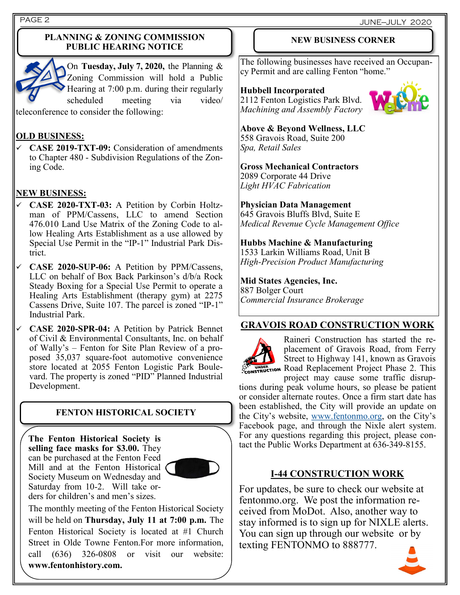PAGE 2 JUNE—JULY 2020

#### **PLANNING & ZONING COMMISSION PUBLIC HEARING NOTICE**



On **Tuesday, July 7, 2020,** the Planning & Zoning Commission will hold a Public Hearing at 7:00 p.m. during their regularly scheduled meeting via video/

teleconference to consider the following:

## **OLD BUSINESS:**

✓ **CASE 2019-TXT-09:** Consideration of amendments to Chapter 480 - Subdivision Regulations of the Zoning Code.

### **NEW BUSINESS:**

- ✓ **CASE 2020-TXT-03:** A Petition by Corbin Holtzman of PPM/Cassens, LLC to amend Section 476.010 Land Use Matrix of the Zoning Code to allow Healing Arts Establishment as a use allowed by Special Use Permit in the "IP-1" Industrial Park District.
- ✓ **CASE 2020-SUP-06:** A Petition by PPM/Cassens, LLC on behalf of Box Back Parkinson's d/b/a Rock Steady Boxing for a Special Use Permit to operate a Healing Arts Establishment (therapy gym) at 2275 Cassens Drive, Suite 107. The parcel is zoned "IP-1" Industrial Park.
- ✓ **CASE 2020-SPR-04:** A Petition by Patrick Bennet of Civil & Environmental Consultants, Inc. on behalf of Wally's – Fenton for Site Plan Review of a proposed 35,037 square-foot automotive convenience store located at 2055 Fenton Logistic Park Boulevard. The property is zoned "PID" Planned Industrial Development.

### **FENTON HISTORICAL SOCIETY**

**The Fenton Historical Society is selling face masks for \$3.00.** They can be purchased at the Fenton Feed Mill and at the Fenton Historical Society Museum on Wednesday and Saturday from 10-2. Will take orders for children's and men's sizes.



The monthly meeting of the Fenton Historical Society will be held on **Thursday, July 11 at 7:00 p.m.** The Fenton Historical Society is located at #1 Church Street in Olde Towne Fenton.For more information, call (636) 326-0808 or visit our website: **www.fentonhistory.com.**

#### **NEW BUSINESS CORNER**

The following businesses have received an Occupancy Permit and are calling Fenton "home."

#### **Hubbell Incorporated**

2112 Fenton Logistics Park Blvd. *Machining and Assembly Factory*



# **Above & Beyond Wellness, LLC**

558 Gravois Road, Suite 200 *Spa, Retail Sales*

#### **Gross Mechanical Contractors**

2089 Corporate 44 Drive *Light HVAC Fabrication*

#### **Physician Data Management**

645 Gravois Bluffs Blvd, Suite E *Medical Revenue Cycle Management Office*

#### **Hubbs Machine & Manufacturing**

1533 Larkin Williams Road, Unit B *High-Precision Product Manufacturing*

#### **Mid States Agencies, Inc.**

887 Bolger Court *Commercial Insurance Brokerage*

### **GRAVOIS ROAD CONSTRUCTION WORK**



Raineri Construction has started the replacement of Gravois Road, from Ferry Street to Highway 141, known as Gravois **ROAD EXPERIENCE ROAD REPLACEMENT PROJECT Phase 2. This** project may cause some traffic disrup-

tions during peak volume hours, so please be patient or consider alternate routes. Once a firm start date has been established, the City will provide an update on the City's website, [www.fentonmo.org,](http://www.fentonmo.org) on the City's Facebook page, and through the Nixle alert system. For any questions regarding this project, please contact the Public Works Department at 636-349-8155.

#### **I-44 CONSTRUCTION WORK**

For updates, be sure to check our website at fentonmo.org. We post the information received from MoDot. Also, another way to stay informed is to sign up for NIXLE alerts. You can sign up through our website or by texting FENTONMO to 888777.

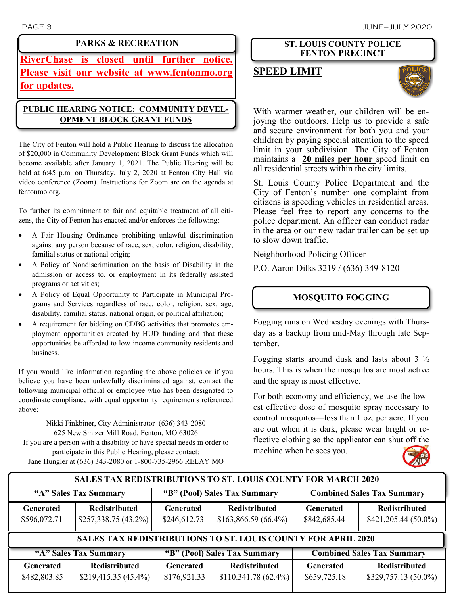## **PARKS & RECREATION**

**RiverChase is closed until further notice. Please visit our website at www.fentonmo.org for updates.**

# **PUBLIC HEARING NOTICE: COMMUNITY DEVEL-OPMENT BLOCK GRANT FUNDS**

The City of Fenton will hold a Public Hearing to discuss the allocation of \$20,000 in Community Development Block Grant Funds which will become available after January 1, 2021. The Public Hearing will be held at 6:45 p.m. on Thursday, July 2, 2020 at Fenton City Hall via video conference (Zoom). Instructions for Zoom are on the agenda at fentonmo.org.

To further its commitment to fair and equitable treatment of all citizens, the City of Fenton has enacted and/or enforces the following:

- A Fair Housing Ordinance prohibiting unlawful discrimination against any person because of race, sex, color, religion, disability, familial status or national origin;
- A Policy of Nondiscrimination on the basis of Disability in the admission or access to, or employment in its federally assisted programs or activities;
- A Policy of Equal Opportunity to Participate in Municipal Programs and Services regardless of race, color, religion, sex, age, disability, familial status, national origin, or political affiliation;
- A requirement for bidding on CDBG activities that promotes employment opportunities created by HUD funding and that these opportunities be afforded to low-income community residents and business.

If you would like information regarding the above policies or if you believe you have been unlawfully discriminated against, contact the following municipal official or employee who has been designated to coordinate compliance with equal opportunity requirements referenced above:

Nikki Finkbiner, City Administrator (636) 343-2080 625 New Smizer Mill Road, Fenton, MO 63026 If you are a person with a disability or have special needs in order to participate in this Public Hearing, please contact: Jane Hungler at (636) 343-2080 or 1-800-735-2966 RELAY MO

### **ST. LOUIS COUNTY POLICE FENTON PRECINCT**

# **SPEED LIMIT**



With warmer weather, our children will be enjoying the outdoors. Help us to provide a safe and secure environment for both you and your children by paying special attention to the speed limit in your subdivision. The City of Fenton maintains a **20 miles per hour** speed limit on all residential streets within the city limits.

St. Louis County Police Department and the City of Fenton's number one complaint from citizens is speeding vehicles in residential areas. Please feel free to report any concerns to the police department. An officer can conduct radar in the area or our new radar trailer can be set up to slow down traffic.

Neighborhood Policing Officer

P.O. Aaron Dilks 3219 / (636) 349-8120

# **MOSQUITO FOGGING**

Fogging runs on Wednesday evenings with Thursday as a backup from mid-May through late September.

Fogging starts around dusk and lasts about 3 ½ hours. This is when the mosquitos are most active and the spray is most effective.

For both economy and efficiency, we use the lowest effective dose of mosquito spray necessary to control mosquitos—less than 1 oz. per acre. If you are out when it is dark, please wear bright or reflective clothing so the applicator can shut off the machine when he sees you.



# **"A" Sales Tax Summary "B" (Pool) Sales Tax Summary Combined Sales Tax Summary Generated Redistributed Generated Redistributed Generated Redistributed**  $$482,803.85$   $$219,415.35 (45.4%)$   $$176,921.33$   $$110.341.78 (62.4%)$   $$659,725.18$   $$329,757.13 (50.0%)$ **SALES TAX REDISTRIBUTIONS TO ST. LOUIS COUNTY FOR APRIL 2020 SALES TAX REDISTRIBUTIONS TO ST. LOUIS COUNTY FOR MARCH 2020 "A" Sales Tax Summary "B" (Pool) Sales Tax Summary Combined Sales Tax Summary Generated Redistributed Generated Redistributed Generated Redistributed**  $$596,072.71$   $$257,338.75 (43.2%)$   $$246,612.73$   $$163,866.59 (66.4%)$   $$842,685.44$   $$421,205.44 (50.0%)$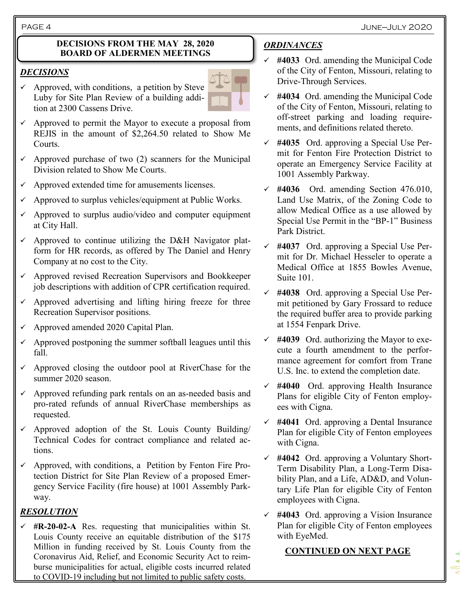#### **DECISIONS FROM THE MAY 28, 2020 BOARD OF ALDERMEN MEETINGS**

### *DECISIONS*

 $\checkmark$  Approved, with conditions, a petition by Steve Luby for Site Plan Review of a building addition at 2300 Cassens Drive.



- $\checkmark$  Approved to permit the Mayor to execute a proposal from REJIS in the amount of \$2,264.50 related to Show Me Courts.
- $\checkmark$  Approved purchase of two (2) scanners for the Municipal Division related to Show Me Courts.
- Approved extended time for amusements licenses.
- Approved to surplus vehicles/equipment at Public Works.
- $\checkmark$  Approved to surplus audio/video and computer equipment at City Hall.
- $\checkmark$  Approved to continue utilizing the D&H Navigator platform for HR records, as offered by The Daniel and Henry Company at no cost to the City.
- ✓ Approved revised Recreation Supervisors and Bookkeeper job descriptions with addition of CPR certification required.
- $\checkmark$  Approved advertising and lifting hiring freeze for three Recreation Supervisor positions.
- $\checkmark$  Approved amended 2020 Capital Plan.
- Approved postponing the summer softball leagues until this fall.
- $\checkmark$  Approved closing the outdoor pool at RiverChase for the summer 2020 season.
- $\checkmark$  Approved refunding park rentals on an as-needed basis and pro-rated refunds of annual RiverChase memberships as requested.
- $\checkmark$  Approved adoption of the St. Louis County Building/ Technical Codes for contract compliance and related actions.
- $\checkmark$  Approved, with conditions, a Petition by Fenton Fire Protection District for Site Plan Review of a proposed Emergency Service Facility (fire house) at 1001 Assembly Parkway.

# *RESOLUTION*

✓ **#R-20-02-A** Res. requesting that municipalities within St. Louis County receive an equitable distribution of the \$175 Million in funding received by St. Louis County from the Coronavirus Aid, Relief, and Economic Security Act to reimburse municipalities for actual, eligible costs incurred related to COVID-19 including but not limited to public safety costs.

# *ORDINANCES*

- ✓ **#4033** Ord. amending the Municipal Code of the City of Fenton, Missouri, relating to Drive-Through Services.
- ✓ **#4034** Ord. amending the Municipal Code of the City of Fenton, Missouri, relating to off-street parking and loading requirements, and definitions related thereto.
- ✓ **#4035** Ord. approving a Special Use Permit for Fenton Fire Protection District to operate an Emergency Service Facility at 1001 Assembly Parkway.
- ✓ **#4036** Ord. amending Section 476.010, Land Use Matrix, of the Zoning Code to allow Medical Office as a use allowed by Special Use Permit in the "BP-1" Business Park District.
- ✓ **#4037** Ord. approving a Special Use Permit for Dr. Michael Hesseler to operate a Medical Office at 1855 Bowles Avenue, Suite 101.
- ✓ **#4038** Ord. approving a Special Use Permit petitioned by Gary Frossard to reduce the required buffer area to provide parking at 1554 Fenpark Drive.
- ✓ **#4039** Ord. authorizing the Mayor to execute a fourth amendment to the performance agreement for comfort from Trane U.S. Inc. to extend the completion date.
- ✓ **#4040** Ord. approving Health Insurance Plans for eligible City of Fenton employees with Cigna.
- ✓ **#4041** Ord. approving a Dental Insurance Plan for eligible City of Fenton employees with Cigna.
- ✓ **#4042** Ord. approving a Voluntary Short-Term Disability Plan, a Long-Term Disability Plan, and a Life, AD&D, and Voluntary Life Plan for eligible City of Fenton employees with Cigna.
- ✓ **#4043** Ord. approving a Vision Insurance Plan for eligible City of Fenton employees with EyeMed.

# **CONTINUED ON NEXT PAGE**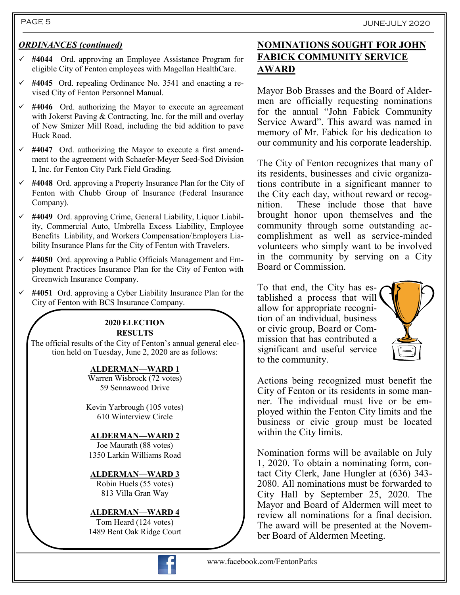## PAGE 5 JUNE-JULY 2020

## *ORDINANCES (continued)*

- ✓ **#4044** Ord. approving an Employee Assistance Program for eligible City of Fenton employees with Magellan HealthCare.
- ✓ **#4045** Ord. repealing Ordinance No. 3541 and enacting a revised City of Fenton Personnel Manual.
- $\checkmark$  #4046 Ord. authorizing the Mayor to execute an agreement with Jokerst Paving & Contracting, Inc. for the mill and overlay of New Smizer Mill Road, including the bid addition to pave Huck Road.
- ✓ **#4047** Ord. authorizing the Mayor to execute a first amendment to the agreement with Schaefer-Meyer Seed-Sod Division I, Inc. for Fenton City Park Field Grading.
- ✓ **#4048** Ord. approving a Property Insurance Plan for the City of Fenton with Chubb Group of Insurance (Federal Insurance Company).
- ✓ **#4049** Ord. approving Crime, General Liability, Liquor Liability, Commercial Auto, Umbrella Excess Liability, Employee Benefits Liability, and Workers Compensation/Employers Liability Insurance Plans for the City of Fenton with Travelers.
- ✓ **#4050** Ord. approving a Public Officials Management and Employment Practices Insurance Plan for the City of Fenton with Greenwich Insurance Company.
- ✓ **#4051** Ord. approving a Cyber Liability Insurance Plan for the City of Fenton with BCS Insurance Company.

#### **2020 ELECTION RESULTS**

The official results of the City of Fenton's annual general election held on Tuesday, June 2, 2020 are as follows:

#### **ALDERMAN—WARD 1**

Warren Wisbrock (72 votes) 59 Sennawood Drive

Kevin Yarbrough (105 votes) 610 Winterview Circle

### **ALDERMAN—WARD 2**

Joe Maurath (88 votes) 1350 Larkin Williams Road

#### **ALDERMAN—WARD 3** Robin Huels (55 votes)

813 Villa Gran Way

#### **ALDERMAN—WARD 4**

Tom Heard (124 votes) 1489 Bent Oak Ridge Court



# **NOMINATIONS SOUGHT FOR JOHN FABICK COMMUNITY SERVICE AWARD**

Mayor Bob Brasses and the Board of Aldermen are officially requesting nominations for the annual "John Fabick Community Service Award". This award was named in memory of Mr. Fabick for his dedication to our community and his corporate leadership.

The City of Fenton recognizes that many of its residents, businesses and civic organizations contribute in a significant manner to the City each day, without reward or recognition. These include those that have brought honor upon themselves and the community through some outstanding accomplishment as well as service-minded volunteers who simply want to be involved in the community by serving on a City Board or Commission.

To that end, the City has established a process that will allow for appropriate recognition of an individual, business or civic group, Board or Commission that has contributed a significant and useful service to the community.



Actions being recognized must benefit the City of Fenton or its residents in some manner. The individual must live or be employed within the Fenton City limits and the business or civic group must be located within the City limits.

Nomination forms will be available on July 1, 2020. To obtain a nominating form, contact City Clerk, Jane Hungler at (636) 343- 2080. All nominations must be forwarded to City Hall by September 25, 2020. The Mayor and Board of Aldermen will meet to review all nominations for a final decision. The award will be presented at the November Board of Aldermen Meeting.